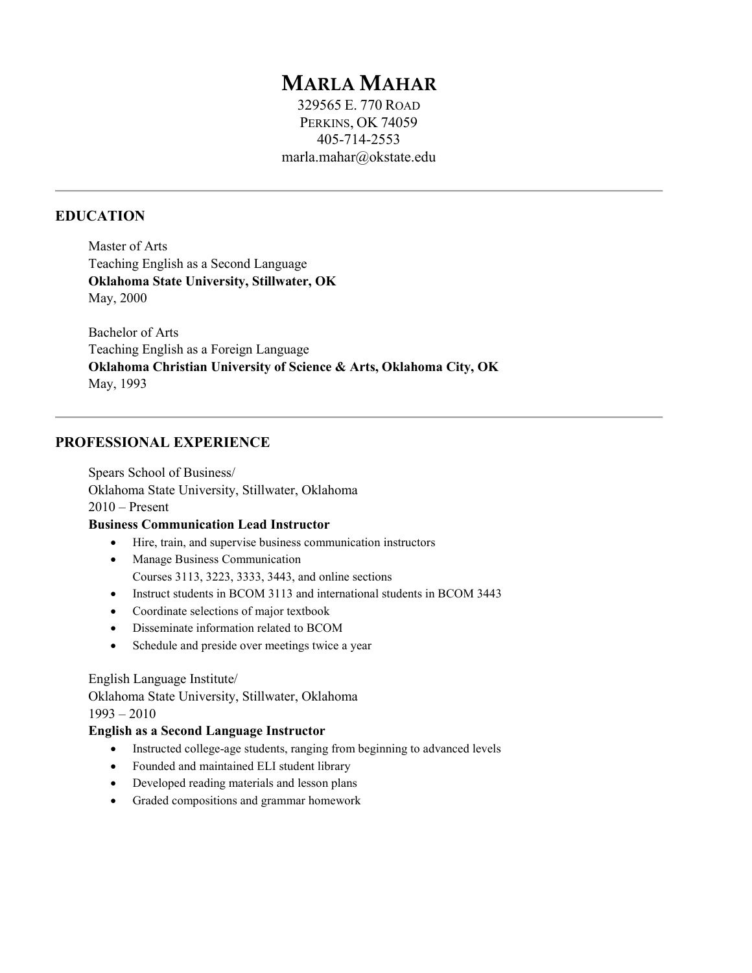# **MARLA MAHAR**

329565 E. 770 ROAD PERKINS, OK 74059 405-714-2553 [marla.mahar@okstate.edu](mailto:marla.mahar@okstate.edu)

## **EDUCATION**

Master of Arts Teaching English as a Second Language **Oklahoma State University, Stillwater, OK**  May, 2000

Bachelor of Arts Teaching English as a Foreign Language **Oklahoma Christian University of Science & Arts, Oklahoma City, OK**  May, 1993

## **PROFESSIONAL EXPERIENCE**

Spears School of Business/ Oklahoma State University, Stillwater, Oklahoma  $2010 -$ Present

#### **Business Communication Lead Instructor**

- Hire, train, and supervise business communication instructors
- Manage Business Communication Courses 3113, 3223, 3333, 3443, and online sections
- Instruct students in BCOM 3113 and international students in BCOM 3443
- Coordinate selections of major textbook
- Disseminate information related to BCOM
- Schedule and preside over meetings twice a year

English Language Institute/ Oklahoma State University, Stillwater, Oklahoma 1993 – 2010

#### **English as a Second Language Instructor**

- Instructed college-age students, ranging from beginning to advanced levels
- Founded and maintained ELI student library
- Developed reading materials and lesson plans
- Graded compositions and grammar homework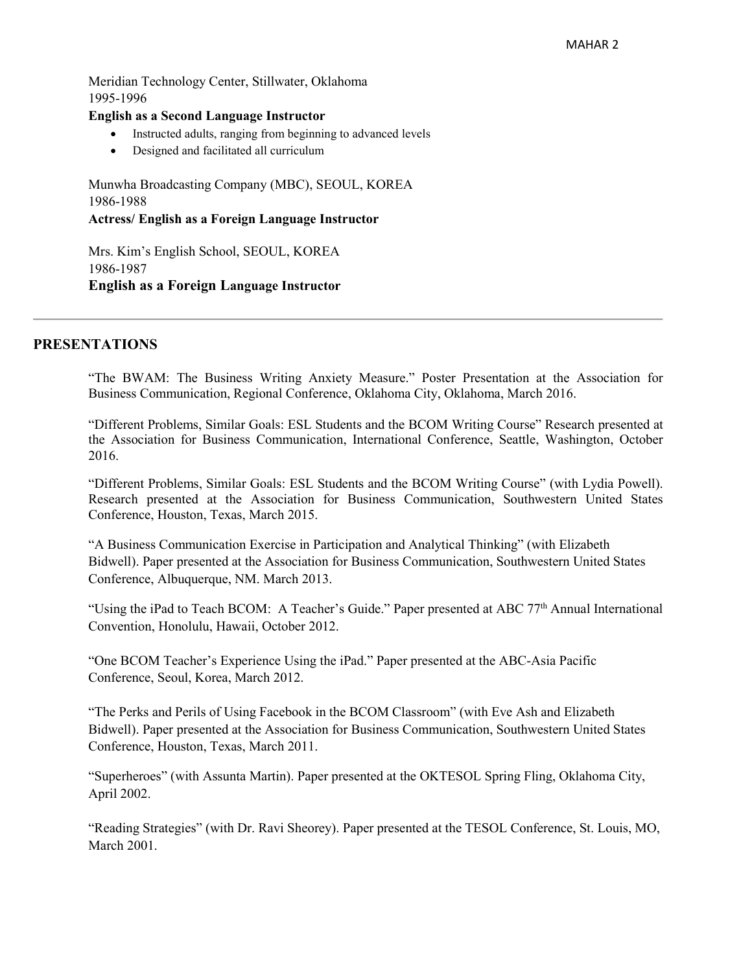Meridian Technology Center, Stillwater, Oklahoma 1995-1996

#### **English as a Second Language Instructor**

- Instructed adults, ranging from beginning to advanced levels
- Designed and facilitated all curriculum

Munwha Broadcasting Company (MBC), SEOUL, KOREA 1986-1988 **Actress/ English as a Foreign Language Instructor**

Mrs. Kim's English School, SEOUL, KOREA 1986-1987 **English as a Foreign Language Instructor** 

## **PRESENTATIONS**

"The BWAM: The Business Writing Anxiety Measure." Poster Presentation at the Association for Business Communication, Regional Conference, Oklahoma City, Oklahoma, March 2016.

"Different Problems, Similar Goals: ESL Students and the BCOM Writing Course" Research presented at the Association for Business Communication, International Conference, Seattle, Washington, October 2016.

"Different Problems, Similar Goals: ESL Students and the BCOM Writing Course" (with Lydia Powell). Research presented at the Association for Business Communication, Southwestern United States Conference, Houston, Texas, March 2015.

"A Business Communication Exercise in Participation and Analytical Thinking" (with Elizabeth Bidwell). Paper presented at the Association for Business Communication, Southwestern United States Conference, Albuquerque, NM. March 2013.

"Using the iPad to Teach BCOM: A Teacher's Guide." Paper presented at ABC 77<sup>th</sup> Annual International Convention, Honolulu, Hawaii, October 2012.

"One BCOM Teacher's Experience Using the iPad." Paper presented at the ABC-Asia Pacific Conference, Seoul, Korea, March 2012.

"The Perks and Perils of Using Facebook in the BCOM Classroom" (with Eve Ash and Elizabeth Bidwell). Paper presented at the Association for Business Communication, Southwestern United States Conference, Houston, Texas, March 2011.

"Superheroes" (with Assunta Martin). Paper presented at the OKTESOL Spring Fling, Oklahoma City, April 2002.

"Reading Strategies" (with Dr. Ravi Sheorey). Paper presented at the TESOL Conference, St. Louis, MO, March 2001.